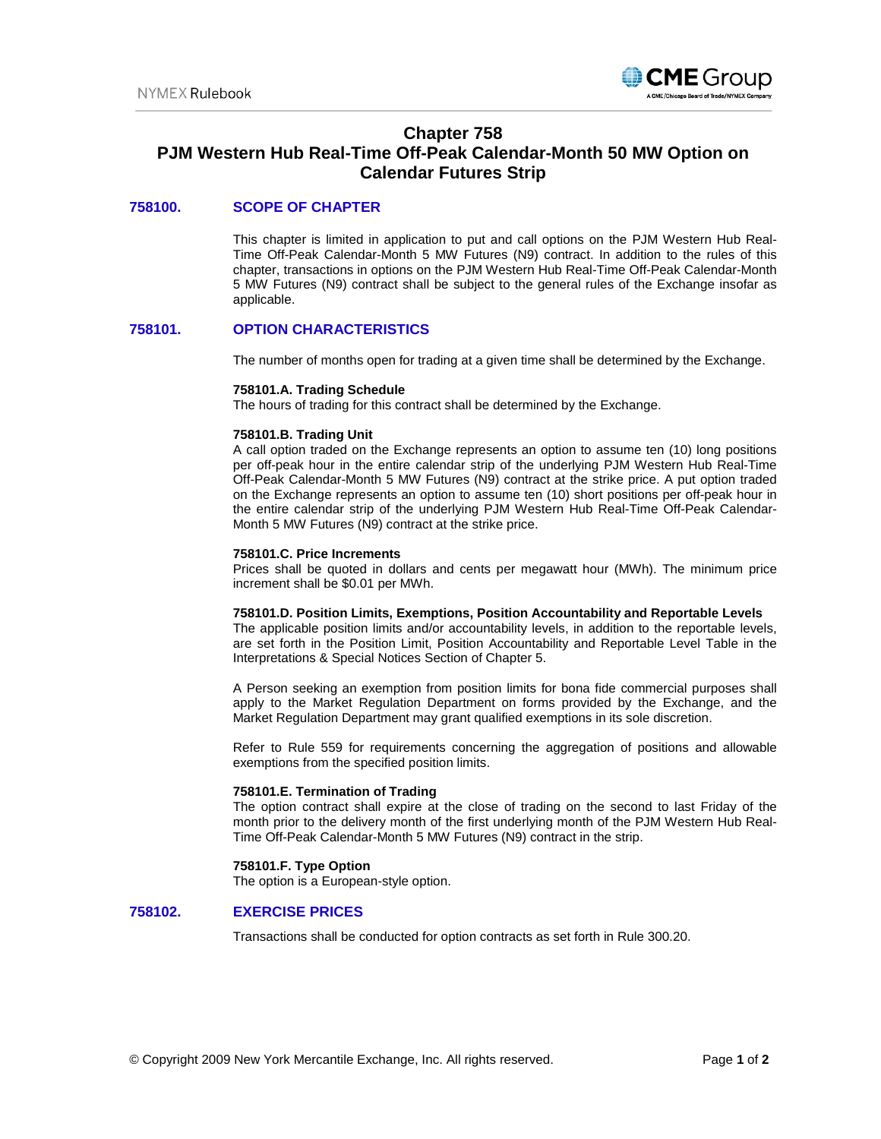

# **Chapter 758**

# **PJM Western Hub Real-Time Off-Peak Calendar-Month 50 MW Option on Calendar Futures Strip**

## **758100. SCOPE OF CHAPTER**

This chapter is limited in application to put and call options on the PJM Western Hub Real-Time Off-Peak Calendar-Month 5 MW Futures (N9) contract. In addition to the rules of this chapter, transactions in options on the PJM Western Hub Real-Time Off-Peak Calendar-Month 5 MW Futures (N9) contract shall be subject to the general rules of the Exchange insofar as applicable.

## **758101. OPTION CHARACTERISTICS**

The number of months open for trading at a given time shall be determined by the Exchange.

#### **758101.A. Trading Schedule**

The hours of trading for this contract shall be determined by the Exchange.

#### **758101.B. Trading Unit**

A call option traded on the Exchange represents an option to assume ten (10) long positions per off-peak hour in the entire calendar strip of the underlying PJM Western Hub Real-Time Off-Peak Calendar-Month 5 MW Futures (N9) contract at the strike price. A put option traded on the Exchange represents an option to assume ten (10) short positions per off-peak hour in the entire calendar strip of the underlying PJM Western Hub Real-Time Off-Peak Calendar-Month 5 MW Futures (N9) contract at the strike price.

#### **758101.C. Price Increments**

Prices shall be quoted in dollars and cents per megawatt hour (MWh). The minimum price increment shall be \$0.01 per MWh.

#### **758101.D. Position Limits, Exemptions, Position Accountability and Reportable Levels**

The applicable position limits and/or accountability levels, in addition to the reportable levels, are set forth in the Position Limit, Position Accountability and Reportable Level Table in the Interpretations & Special Notices Section of Chapter 5.

A Person seeking an exemption from position limits for bona fide commercial purposes shall apply to the Market Regulation Department on forms provided by the Exchange, and the Market Regulation Department may grant qualified exemptions in its sole discretion.

Refer to Rule 559 for requirements concerning the aggregation of positions and allowable exemptions from the specified position limits.

## **758101.E. Termination of Trading**

The option contract shall expire at the close of trading on the second to last Friday of the month prior to the delivery month of the first underlying month of the PJM Western Hub Real-Time Off-Peak Calendar-Month 5 MW Futures (N9) contract in the strip.

## **758101.F. Type Option**

The option is a European-style option.

## **758102. EXERCISE PRICES**

Transactions shall be conducted for option contracts as set forth in Rule 300.20.